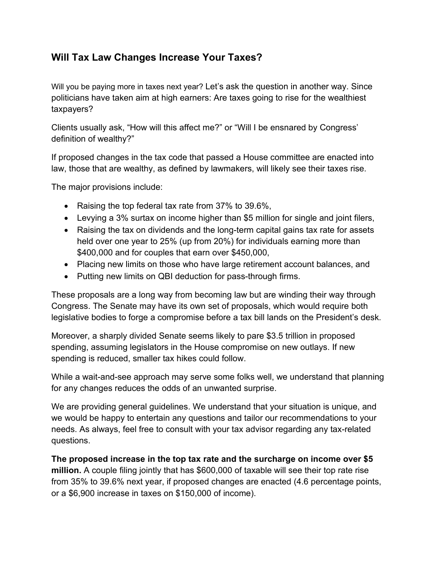## **Will Tax Law Changes Increase Your Taxes?**

Will you be paying more in taxes next year? Let's ask the question in another way. Since politicians have taken aim at high earners: Are taxes going to rise for the wealthiest taxpayers?

Clients usually ask, "How will this affect me?" or "Will I be ensnared by Congress' definition of wealthy?"

If proposed changes in the tax code that passed a House committee are enacted into law, those that are wealthy, as defined by lawmakers, will likely see their taxes rise.

The major provisions include:

- Raising the top federal tax rate from 37% to 39.6%,
- Levying a 3% surtax on income higher than \$5 million for single and joint filers,
- Raising the tax on dividends and the long-term capital gains tax rate for assets held over one year to 25% (up from 20%) for individuals earning more than \$400,000 and for couples that earn over \$450,000,
- Placing new limits on those who have large retirement account balances, and
- Putting new limits on QBI deduction for pass-through firms.

These proposals are a long way from becoming law but are winding their way through Congress. The Senate may have its own set of proposals, which would require both legislative bodies to forge a compromise before a tax bill lands on the President's desk.

Moreover, a sharply divided Senate seems likely to pare \$3.5 trillion in proposed spending, assuming legislators in the House compromise on new outlays. If new spending is reduced, smaller tax hikes could follow.

While a wait-and-see approach may serve some folks well, we understand that planning for any changes reduces the odds of an unwanted surprise.

We are providing general guidelines. We understand that your situation is unique, and we would be happy to entertain any questions and tailor our recommendations to your needs. As always, feel free to consult with your tax advisor regarding any tax-related questions.

**The proposed increase in the top tax rate and the surcharge on income over \$5 million.** A couple filing jointly that has \$600,000 of taxable will see their top rate rise from 35% to 39.6% next year, if proposed changes are enacted (4.6 percentage points, or a \$6,900 increase in taxes on \$150,000 of income).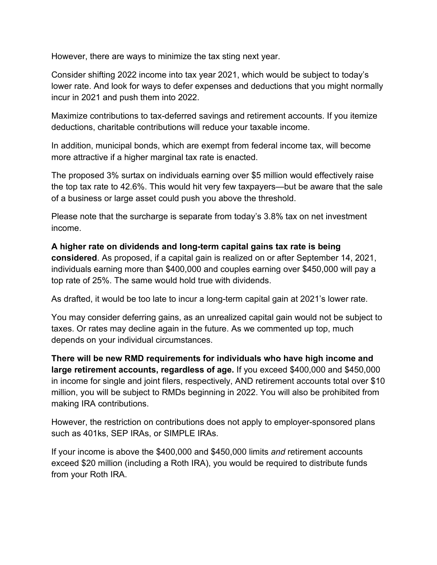However, there are ways to minimize the tax sting next year.

Consider shifting 2022 income into tax year 2021, which would be subject to today's lower rate. And look for ways to defer expenses and deductions that you might normally incur in 2021 and push them into 2022.

Maximize contributions to tax-deferred savings and retirement accounts. If you itemize deductions, charitable contributions will reduce your taxable income.

In addition, municipal bonds, which are exempt from federal income tax, will become more attractive if a higher marginal tax rate is enacted.

The proposed 3% surtax on individuals earning over \$5 million would effectively raise the top tax rate to 42.6%. This would hit very few taxpayers—but be aware that the sale of a business or large asset could push you above the threshold.

Please note that the surcharge is separate from today's 3.8% tax on net investment income.

**A higher rate on dividends and long-term capital gains tax rate is being considered**. As proposed, if a capital gain is realized on or after September 14, 2021, individuals earning more than \$400,000 and couples earning over \$450,000 will pay a top rate of 25%. The same would hold true with dividends.

As drafted, it would be too late to incur a long-term capital gain at 2021's lower rate.

You may consider deferring gains, as an unrealized capital gain would not be subject to taxes. Or rates may decline again in the future. As we commented up top, much depends on your individual circumstances.

**There will be new RMD requirements for individuals who have high income and large retirement accounts, regardless of age.** If you exceed \$400,000 and \$450,000 in income for single and joint filers, respectively, AND retirement accounts total over \$10 million, you will be subject to RMDs beginning in 2022. You will also be prohibited from making IRA contributions.

However, the restriction on contributions does not apply to employer-sponsored plans such as 401ks, SEP IRAs, or SIMPLE IRAs.

If your income is above the \$400,000 and \$450,000 limits *and* retirement accounts exceed \$20 million (including a Roth IRA), you would be required to distribute funds from your Roth IRA.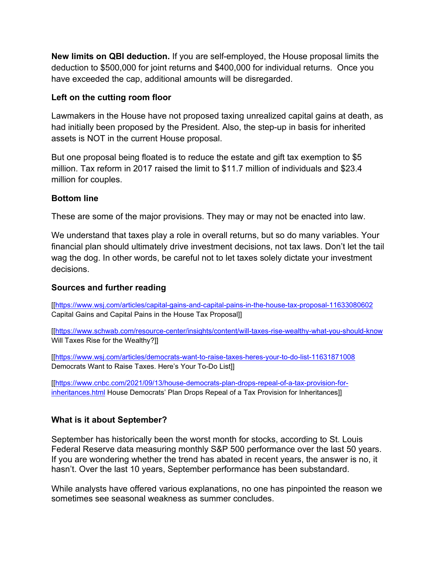**New limits on QBI deduction.** If you are self-employed, the House proposal limits the deduction to \$500,000 for joint returns and \$400,000 for individual returns. Once you have exceeded the cap, additional amounts will be disregarded.

## **Left on the cutting room floor**

Lawmakers in the House have not proposed taxing unrealized capital gains at death, as had initially been proposed by the President. Also, the step-up in basis for inherited assets is NOT in the current House proposal.

But one proposal being floated is to reduce the estate and gift tax exemption to \$5 million. Tax reform in 2017 raised the limit to \$11.7 million of individuals and \$23.4 million for couples.

#### **Bottom line**

These are some of the major provisions. They may or may not be enacted into law.

We understand that taxes play a role in overall returns, but so do many variables. Your financial plan should ultimately drive investment decisions, not tax laws. Don't let the tail wag the dog. In other words, be careful not to let taxes solely dictate your investment decisions.

## **Sources and further reading**

[[\[https://www.wsj.com/articles/capital-gains-and-capital-pains-in-the-house-tax-proposal-11633080602](https://www.wsj.com/articles/capital-gains-and-capital-pains-in-the-house-tax-proposal-11633080602) Capital Gains and Capital Pains in the House Tax Proposal]]

[[\[https://www.schwab.com/resource-center/insights/content/will-taxes-rise-wealthy-what-you-should-know](https://www.schwab.com/resource-center/insights/content/will-taxes-rise-wealthy-what-you-should-know) Will Taxes Rise for the Wealthy?]]

[[\[https://www.wsj.com/articles/democrats-want-to-raise-taxes-heres-your-to-do-list-11631871008](https://www.wsj.com/articles/democrats-want-to-raise-taxes-heres-your-to-do-list-11631871008) Democrats Want to Raise Taxes. Here's Your To-Do List]]

[[\[https://www.cnbc.com/2021/09/13/house-democrats-plan-drops-repeal-of-a-tax-provision-for](https://www.cnbc.com/2021/09/13/house-democrats-plan-drops-repeal-of-a-tax-provision-for-inheritances.html)[inheritances.html](https://www.cnbc.com/2021/09/13/house-democrats-plan-drops-repeal-of-a-tax-provision-for-inheritances.html) House Democrats' Plan Drops Repeal of a Tax Provision for Inheritances]]

## **What is it about September?**

September has historically been the worst month for stocks, according to St. Louis Federal Reserve data measuring monthly S&P 500 performance over the last 50 years. If you are wondering whether the trend has abated in recent years, the answer is no, it hasn't. Over the last 10 years, September performance has been substandard.

While analysts have offered various explanations, no one has pinpointed the reason we sometimes see seasonal weakness as summer concludes.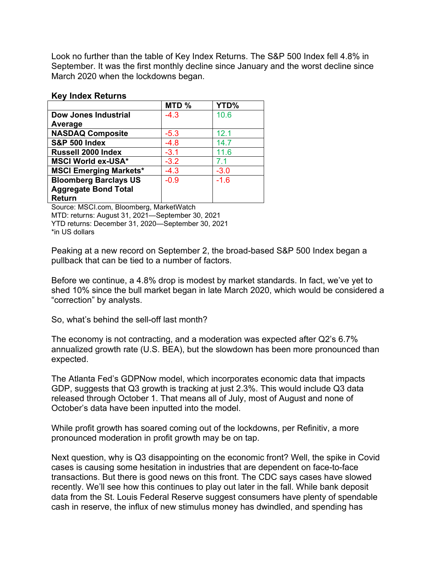Look no further than the table of Key Index Returns. The S&P 500 Index fell 4.8% in September. It was the first monthly decline since January and the worst decline since March 2020 when the lockdowns began.

#### **Key Index Returns**

|                               | MTD %  | YTD%   |
|-------------------------------|--------|--------|
| Dow Jones Industrial          | $-4.3$ | 10.6   |
| Average                       |        |        |
| <b>NASDAQ Composite</b>       | $-5.3$ | 12.1   |
| <b>S&amp;P 500 Index</b>      | $-4.8$ | 14.7   |
| Russell 2000 Index            | $-3.1$ | 11.6   |
| <b>MSCI World ex-USA*</b>     | $-3.2$ | 71     |
| <b>MSCI Emerging Markets*</b> | $-4.3$ | $-3.0$ |
| <b>Bloomberg Barclays US</b>  | $-0.9$ | $-1.6$ |
| <b>Aggregate Bond Total</b>   |        |        |
| <b>Return</b>                 |        |        |

Source: MSCI.com, Bloomberg, MarketWatch MTD: returns: August 31, 2021—September 30, 2021 YTD returns: December 31, 2020—September 30, 2021 \*in US dollars

Peaking at a new record on September 2, the broad-based S&P 500 Index began a pullback that can be tied to a number of factors.

Before we continue, a 4.8% drop is modest by market standards. In fact, we've yet to shed 10% since the bull market began in late March 2020, which would be considered a "correction" by analysts.

So, what's behind the sell-off last month?

The economy is not contracting, and a moderation was expected after Q2's 6.7% annualized growth rate (U.S. BEA), but the slowdown has been more pronounced than expected.

The Atlanta Fed's GDPNow model, which incorporates economic data that impacts GDP, suggests that Q3 growth is tracking at just 2.3%. This would include Q3 data released through October 1. That means all of July, most of August and none of October's data have been inputted into the model.

While profit growth has soared coming out of the lockdowns, per Refinitiv, a more pronounced moderation in profit growth may be on tap.

Next question, why is Q3 disappointing on the economic front? Well, the spike in Covid cases is causing some hesitation in industries that are dependent on face-to-face transactions. But there is good news on this front. The CDC says cases have slowed recently. We'll see how this continues to play out later in the fall. While bank deposit data from the St. Louis Federal Reserve suggest consumers have plenty of spendable cash in reserve, the influx of new stimulus money has dwindled, and spending has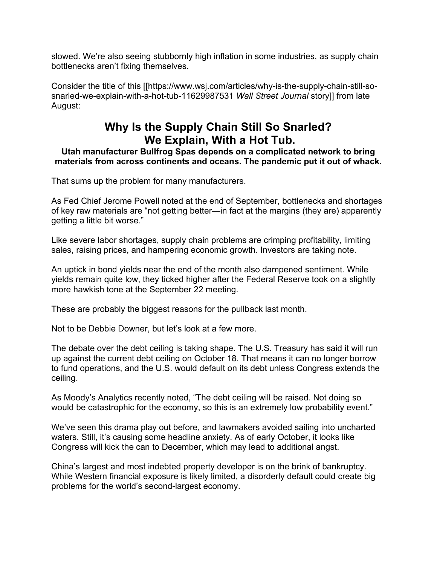slowed. We're also seeing stubbornly high inflation in some industries, as supply chain bottlenecks aren't fixing themselves.

Consider the title of this [[https://www.wsj.com/articles/why-is-the-supply-chain-still-sosnarled-we-explain-with-a-hot-tub-11629987531 *Wall Street Journal* story]] from late August:

# **Why Is the Supply Chain Still So Snarled? We Explain, With a Hot Tub.**

#### **Utah manufacturer Bullfrog Spas depends on a complicated network to bring materials from across continents and oceans. The pandemic put it out of whack.**

That sums up the problem for many manufacturers.

As Fed Chief Jerome Powell noted at the end of September, bottlenecks and shortages of key raw materials are "not getting better—in fact at the margins (they are) apparently getting a little bit worse."

Like severe labor shortages, supply chain problems are crimping profitability, limiting sales, raising prices, and hampering economic growth. Investors are taking note.

An uptick in bond yields near the end of the month also dampened sentiment. While yields remain quite low, they ticked higher after the Federal Reserve took on a slightly more hawkish tone at the September 22 meeting.

These are probably the biggest reasons for the pullback last month.

Not to be Debbie Downer, but let's look at a few more.

The debate over the debt ceiling is taking shape. The U.S. Treasury has said it will run up against the current debt ceiling on October 18. That means it can no longer borrow to fund operations, and the U.S. would default on its debt unless Congress extends the ceiling.

As Moody's Analytics recently noted, "The debt ceiling will be raised. Not doing so would be catastrophic for the economy, so this is an extremely low probability event."

We've seen this drama play out before, and lawmakers avoided sailing into uncharted waters. Still, it's causing some headline anxiety. As of early October, it looks like Congress will kick the can to December, which may lead to additional angst.

China's largest and most indebted property developer is on the brink of bankruptcy. While Western financial exposure is likely limited, a disorderly default could create big problems for the world's second-largest economy.